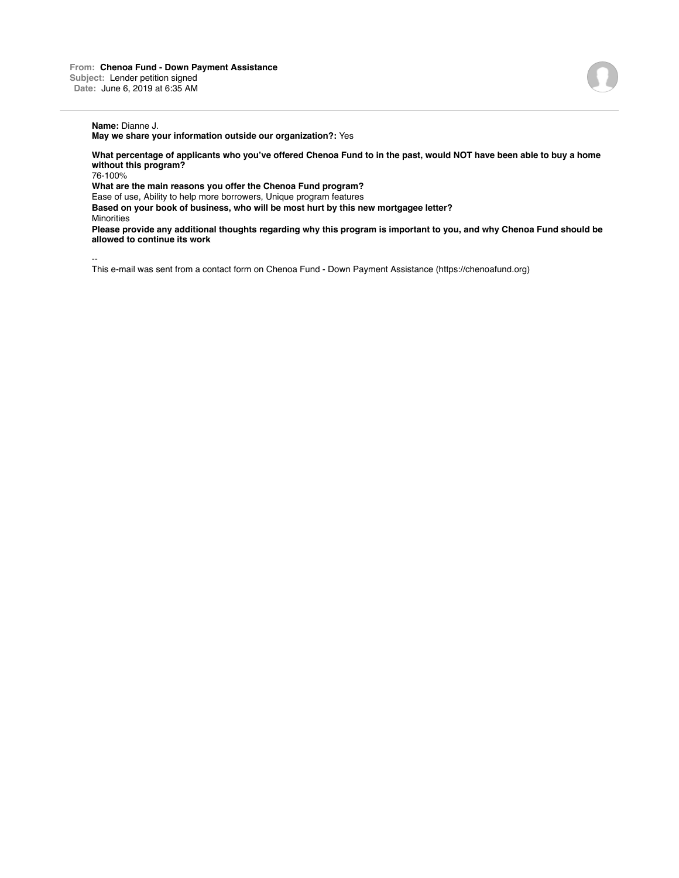**May we share your information outside our organization?:** Yes

**What percentage of applicants who you've offered Chenoa Fund to in the past, would NOT have been able to buy a home without this program?**

76-100%

**What are the main reasons you offer the Chenoa Fund program?**

Ease of use, Ability to help more borrowers, Unique program features

**Based on your book of business, who will be most hurt by this new mortgagee letter? Minorities** 

**Please provide any additional thoughts regarding why this program is important to you, and why Chenoa Fund should be allowed to continue its work**

--

This e-mail was sent from a contact form on Chenoa Fund - Down Payment Assistance (https://chenoafund.org)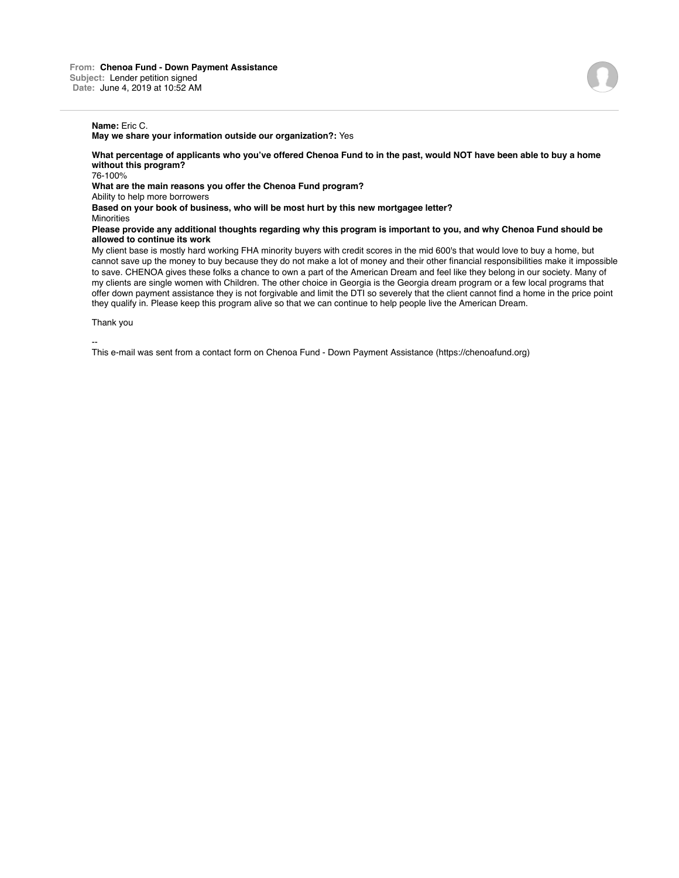**May we share your information outside our organization?:** Yes

**What percentage of applicants who you've offered Chenoa Fund to in the past, would NOT have been able to buy a home without this program?**

76-100%

**What are the main reasons you offer the Chenoa Fund program?**

Ability to help more borrowers

**Based on your book of business, who will be most hurt by this new mortgagee letter?**

Minorities

**Please provide any additional thoughts regarding why this program is important to you, and why Chenoa Fund should be allowed to continue its work**

My client base is mostly hard working FHA minority buyers with credit scores in the mid 600's that would love to buy a home, but cannot save up the money to buy because they do not make a lot of money and their other financial responsibilities make it impossible to save. CHENOA gives these folks a chance to own a part of the American Dream and feel like they belong in our society. Many of my clients are single women with Children. The other choice in Georgia is the Georgia dream program or a few local programs that offer down payment assistance they is not forgivable and limit the DTI so severely that the client cannot find a home in the price point they qualify in. Please keep this program alive so that we can continue to help people live the American Dream.

Thank you

--

This e-mail was sent from a contact form on Chenoa Fund - Down Payment Assistance (https://chenoafund.org)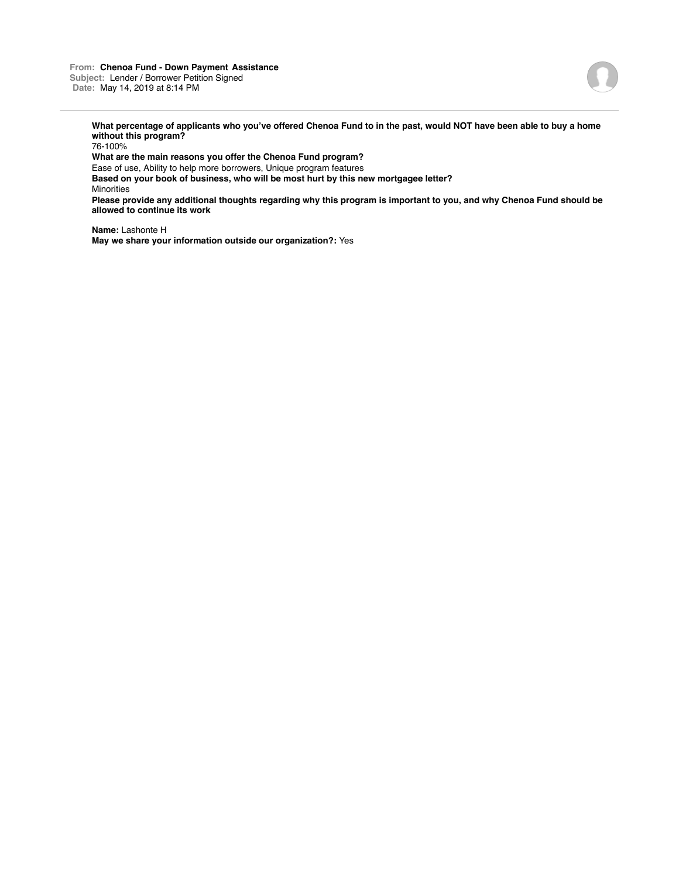

**What percentage of applicants who you've offered Chenoa Fund to in the past, would NOT have been able to buy a home without this program?**

76-100%

**What are the main reasons you offer the Chenoa Fund program?**

Ease of use, Ability to help more borrowers, Unique program features

**Based on your book of business, who will be most hurt by this new mortgagee letter?** Minorities

**Please provide any additional thoughts regarding why this program is important to you, and why Chenoa Fund should be allowed to continue its work**

**Name:** Lashonte H **May we share your information outside our organization?:** Yes